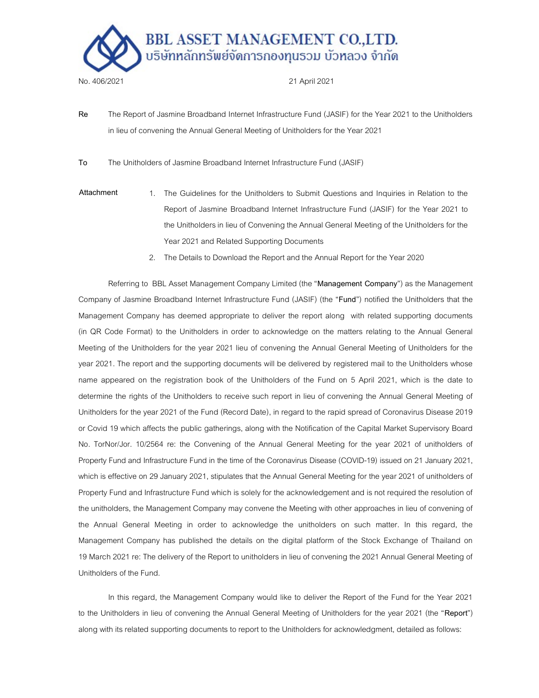

- Re The Report of Jasmine Broadband Internet Infrastructure Fund (JASIF) for the Year 2021 to the Unitholders in lieu of convening the Annual General Meeting of Unitholders for the Year 2021
- To The Unitholders of Jasmine Broadband Internet Infrastructure Fund (JASIF)
- Attachment 1. The Guidelines for the Unitholders to Submit Questions and Inquiries in Relation to the Report of Jasmine Broadband Internet Infrastructure Fund (JASIF) for the Year 2021 to the Unitholders in lieu of Convening the Annual General Meeting of the Unitholders for the Year 2021 and Related Supporting Documents
	- 2. The Details to Download the Report and the Annual Report for the Year 2020

Referring to BBL Asset Management Company Limited (the "Management Company") as the Management Company of Jasmine Broadband Internet Infrastructure Fund (JASIF) (the "Fund") notified the Unitholders that the Management Company has deemed appropriate to deliver the report along with related supporting documents (in QR Code Format) to the Unitholders in order to acknowledge on the matters relating to the Annual General Meeting of the Unitholders for the year 2021 lieu of convening the Annual General Meeting of Unitholders for the year 2021. The report and the supporting documents will be delivered by registered mail to the Unitholders whose name appeared on the registration book of the Unitholders of the Fund on 5 April 2021, which is the date to determine the rights of the Unitholders to receive such report in lieu of convening the Annual General Meeting of Unitholders for the year 2021 of the Fund (Record Date), in regard to the rapid spread of Coronavirus Disease 2019 or Covid 19 which affects the public gatherings, along with the Notification of the Capital Market Supervisory Board No. TorNor/Jor. 10/2564 re: the Convening of the Annual General Meeting for the year 2021 of unitholders of Property Fund and Infrastructure Fund in the time of the Coronavirus Disease (COVID-19) issued on 21 January 2021, which is effective on 29 January 2021, stipulates that the Annual General Meeting for the year 2021 of unitholders of Property Fund and Infrastructure Fund which is solely for the acknowledgement and is not required the resolution of the unitholders, the Management Company may convene the Meeting with other approaches in lieu of convening of the Annual General Meeting in order to acknowledge the unitholders on such matter. In this regard, the Management Company has published the details on the digital platform of the Stock Exchange of Thailand on 19 March 2021 re: The delivery of the Report to unitholders in lieu of convening the 2021 Annual General Meeting of Unitholders of the Fund.

In this regard, the Management Company would like to deliver the Report of the Fund for the Year 2021 to the Unitholders in lieu of convening the Annual General Meeting of Unitholders for the year 2021 (the "Report") along with its related supporting documents to report to the Unitholders for acknowledgment, detailed as follows: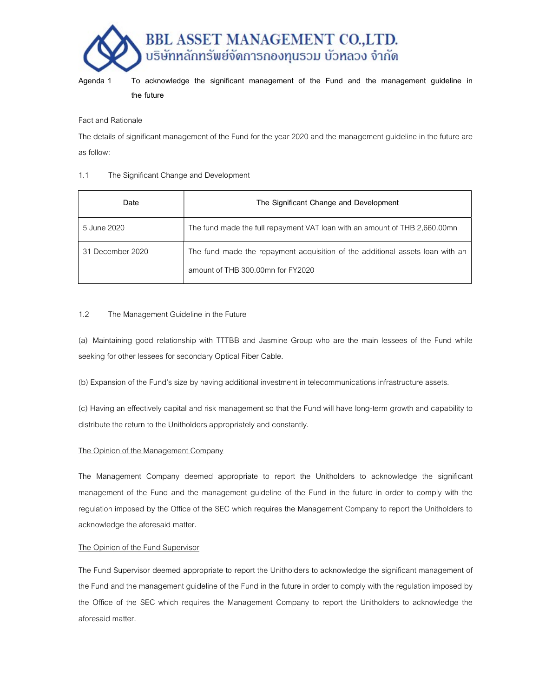

Agenda 1 To acknowledge the significant management of the Fund and the management guideline in the future

# Fact and Rationale

The details of significant management of the Fund for the year 2020 and the management guideline in the future are as follow:

#### 1.1 The Significant Change and Development

| Date             | The Significant Change and Development                                                                             |  |
|------------------|--------------------------------------------------------------------------------------------------------------------|--|
| 5 June 2020      | The fund made the full repayment VAT loan with an amount of THB 2,660.00mn                                         |  |
| 31 December 2020 | The fund made the repayment acquisition of the additional assets loan with an<br>amount of THB 300.00mn for FY2020 |  |

# 1.2 The Management Guideline in the Future

(a) Maintaining good relationship with TTTBB and Jasmine Group who are the main lessees of the Fund while seeking for other lessees for secondary Optical Fiber Cable.

(b) Expansion of the Fund's size by having additional investment in telecommunications infrastructure assets.

(c) Having an effectively capital and risk management so that the Fund will have long-term growth and capability to distribute the return to the Unitholders appropriately and constantly.

# The Opinion of the Management Company

The Management Company deemed appropriate to report the Unitholders to acknowledge the significant management of the Fund and the management guideline of the Fund in the future in order to comply with the regulation imposed by the Office of the SEC which requires the Management Company to report the Unitholders to acknowledge the aforesaid matter.

# The Opinion of the Fund Supervisor

The Fund Supervisor deemed appropriate to report the Unitholders to acknowledge the significant management of the Fund and the management guideline of the Fund in the future in order to comply with the regulation imposed by the Office of the SEC which requires the Management Company to report the Unitholders to acknowledge the aforesaid matter.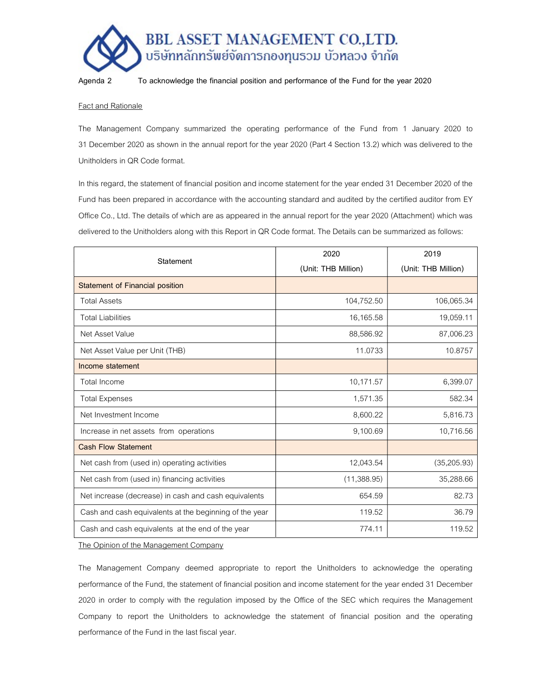

Agenda 2 To acknowledge the financial position and performance of the Fund for the year 2020

#### Fact and Rationale

The Management Company summarized the operating performance of the Fund from 1 January 2020 to 31 December 2020 as shown in the annual report for the year 2020 (Part 4 Section 13.2) which was delivered to the Unitholders in QR Code format.

In this regard, the statement of financial position and income statement for the year ended 31 December 2020 of the Fund has been prepared in accordance with the accounting standard and audited by the certified auditor from EY Office Co., Ltd. The details of which are as appeared in the annual report for the year 2020 (Attachment) which was delivered to the Unitholders along with this Report in QR Code format. The Details can be summarized as follows:

| Statement                                              | 2020                | 2019                |
|--------------------------------------------------------|---------------------|---------------------|
|                                                        | (Unit: THB Million) | (Unit: THB Million) |
| <b>Statement of Financial position</b>                 |                     |                     |
| <b>Total Assets</b>                                    | 104,752.50          | 106,065.34          |
| <b>Total Liabilities</b>                               | 16,165.58           | 19,059.11           |
| Net Asset Value                                        | 88,586.92           | 87,006.23           |
| Net Asset Value per Unit (THB)                         | 11.0733             | 10.8757             |
| Income statement                                       |                     |                     |
| <b>Total Income</b>                                    | 10,171.57           | 6,399.07            |
| <b>Total Expenses</b>                                  | 1,571.35            | 582.34              |
| Net Investment Income                                  | 8,600.22            | 5,816.73            |
| Increase in net assets from operations                 | 9,100.69            | 10,716.56           |
| <b>Cash Flow Statement</b>                             |                     |                     |
| Net cash from (used in) operating activities           | 12,043.54           | (35,205.93)         |
| Net cash from (used in) financing activities           | (11,388.95)         | 35,288.66           |
| Net increase (decrease) in cash and cash equivalents   | 654.59              | 82.73               |
| Cash and cash equivalents at the beginning of the year | 119.52              | 36.79               |
| Cash and cash equivalents at the end of the year       | 774.11              | 119.52              |

The Opinion of the Management Company

The Management Company deemed appropriate to report the Unitholders to acknowledge the operating performance of the Fund, the statement of financial position and income statement for the year ended 31 December 2020 in order to comply with the regulation imposed by the Office of the SEC which requires the Management Company to report the Unitholders to acknowledge the statement of financial position and the operating performance of the Fund in the last fiscal year.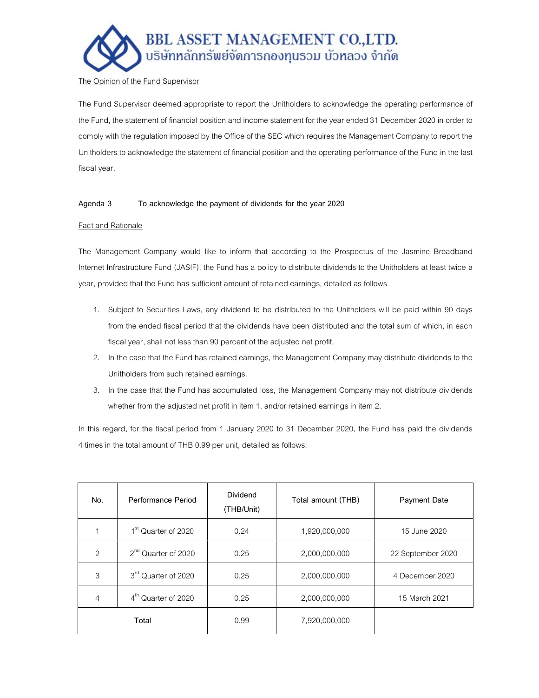

# The Opinion of the Fund Supervisor

The Fund Supervisor deemed appropriate to report the Unitholders to acknowledge the operating performance of the Fund, the statement of financial position and income statement for the year ended 31 December 2020 in order to comply with the regulation imposed by the Office of the SEC which requires the Management Company to report the Unitholders to acknowledge the statement of financial position and the operating performance of the Fund in the last fiscal year.

# Agenda 3 To acknowledge the payment of dividends for the year 2020

#### Fact and Rationale

The Management Company would like to inform that according to the Prospectus of the Jasmine Broadband Internet Infrastructure Fund (JASIF), the Fund has a policy to distribute dividends to the Unitholders at least twice a year, provided that the Fund has sufficient amount of retained earnings, detailed as follows

- 1. Subject to Securities Laws, any dividend to be distributed to the Unitholders will be paid within 90 days from the ended fiscal period that the dividends have been distributed and the total sum of which, in each fiscal year, shall not less than 90 percent of the adjusted net profit.
- 2. In the case that the Fund has retained earnings, the Management Company may distribute dividends to the Unitholders from such retained earnings.
- 3. In the case that the Fund has accumulated loss, the Management Company may not distribute dividends whether from the adjusted net profit in item 1. and/or retained earnings in item 2.

In this regard, for the fiscal period from 1 January 2020 to 31 December 2020, the Fund has paid the dividends 4 times in the total amount of THB 0.99 per unit, detailed as follows:

| No.           | Performance Period              | <b>Dividend</b><br>(THB/Unit) | Total amount (THB) | <b>Payment Date</b> |
|---------------|---------------------------------|-------------------------------|--------------------|---------------------|
|               | 1 <sup>st</sup> Quarter of 2020 | 0.24                          | 1,920,000,000      | 15 June 2020        |
| $\mathcal{P}$ | 2 <sup>nd</sup> Quarter of 2020 | 0.25                          | 2,000,000,000      | 22 September 2020   |
| 3             | 3rd Quarter of 2020             | 0.25                          | 2,000,000,000      | 4 December 2020     |
| 4             | 4 <sup>th</sup> Quarter of 2020 | 0.25                          | 2,000,000,000      | 15 March 2021       |
| Total         |                                 | 0.99                          | 7,920,000,000      |                     |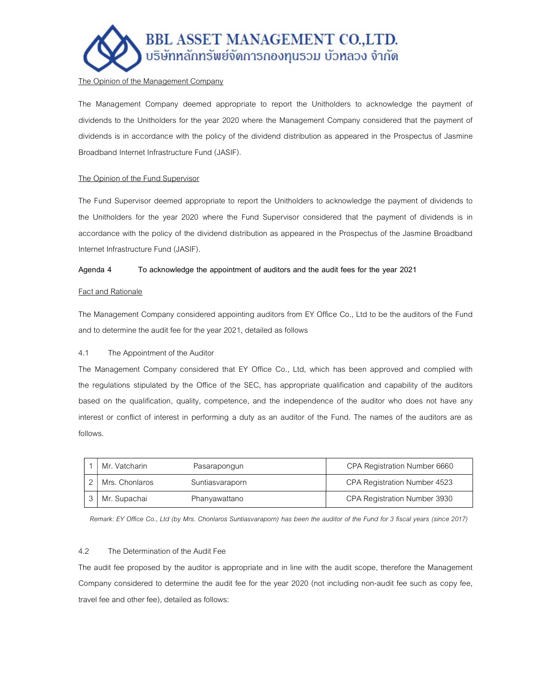

#### The Opinion of the Management Company

The Management Company deemed appropriate to report the Unitholders to acknowledge the payment of dividends to the Unitholders for the year 2020 where the Management Company considered that the payment of dividends is in accordance with the policy of the dividend distribution as appeared in the Prospectus of Jasmine Broadband Internet Infrastructure Fund (JASIF).

# The Opinion of the Fund Supervisor

The Fund Supervisor deemed appropriate to report the Unitholders to acknowledge the payment of dividends to the Unitholders for the year 2020 where the Fund Supervisor considered that the payment of dividends is in accordance with the policy of the dividend distribution as appeared in the Prospectus of the Jasmine Broadband Internet Infrastructure Fund (JASIF).

#### Agenda 4 To acknowledge the appointment of auditors and the audit fees for the year 2021

#### Fact and Rationale

The Management Company considered appointing auditors from EY Office Co., Ltd to be the auditors of the Fund and to determine the audit fee for the year 2021, detailed as follows

# 4.1 The Appointment of the Auditor

The Management Company considered that EY Office Co., Ltd, which has been approved and complied with the regulations stipulated by the Office of the SEC, has appropriate qualification and capability of the auditors based on the qualification, quality, competence, and the independence of the auditor who does not have any interest or conflict of interest in performing a duty as an auditor of the Fund. The names of the auditors are as follows.

| Mr. Vatcharin  | Pasarapongun    | CPA Registration Number 6660 |
|----------------|-----------------|------------------------------|
| Mrs. Chonlaros | Suntiasvaraporn | CPA Registration Number 4523 |
| Mr. Supachai   | Phanyawattano   | CPA Registration Number 3930 |

Remark: EY Office Co., Ltd (by Mrs. Chonlaros Suntiasvaraporn) has been the auditor of the Fund for 3 fiscal years (since 2017)

#### 4.2 The Determination of the Audit Fee

The audit fee proposed by the auditor is appropriate and in line with the audit scope, therefore the Management Company considered to determine the audit fee for the year 2020 (not including non-audit fee such as copy fee, travel fee and other fee), detailed as follows: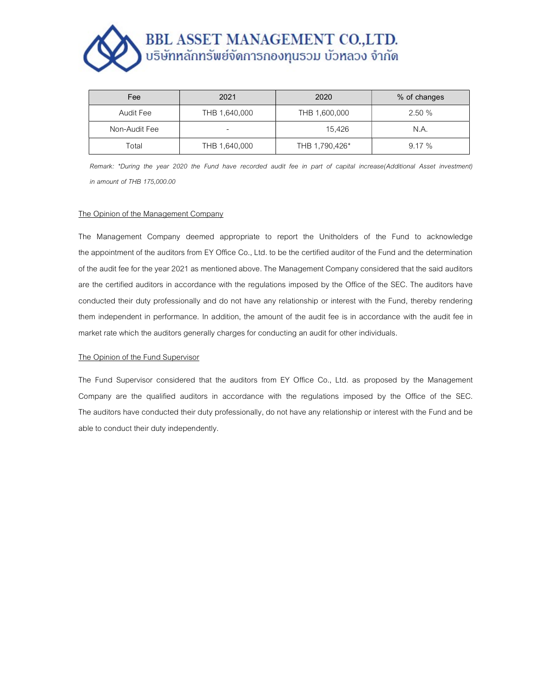# BBL ASSET MANAGEMENT CO.,LTD.<br>บริษัทหลักทรัพย์จัดการกองทุนรวม บัวหลวง จำกัด

| Fee           | 2021          | 2020           | % of changes |
|---------------|---------------|----------------|--------------|
| Audit Fee     | THB 1,640,000 | THB 1,600,000  | 2.50%        |
| Non-Audit Fee |               | 15.426         | N.A.         |
| Total         | THB 1,640,000 | THB 1,790,426* | 9.17%        |

Remark: \*During the year 2020 the Fund have recorded audit fee in part of capital increase(Additional Asset investment) in amount of THB 175,000.00

#### The Opinion of the Management Company

The Management Company deemed appropriate to report the Unitholders of the Fund to acknowledge the appointment of the auditors from EY Office Co., Ltd. to be the certified auditor of the Fund and the determination of the audit fee for the year 2021 as mentioned above. The Management Company considered that the said auditors are the certified auditors in accordance with the regulations imposed by the Office of the SEC. The auditors have conducted their duty professionally and do not have any relationship or interest with the Fund, thereby rendering them independent in performance. In addition, the amount of the audit fee is in accordance with the audit fee in market rate which the auditors generally charges for conducting an audit for other individuals.

#### The Opinion of the Fund Supervisor

The Fund Supervisor considered that the auditors from EY Office Co., Ltd. as proposed by the Management Company are the qualified auditors in accordance with the regulations imposed by the Office of the SEC. The auditors have conducted their duty professionally, do not have any relationship or interest with the Fund and be able to conduct their duty independently.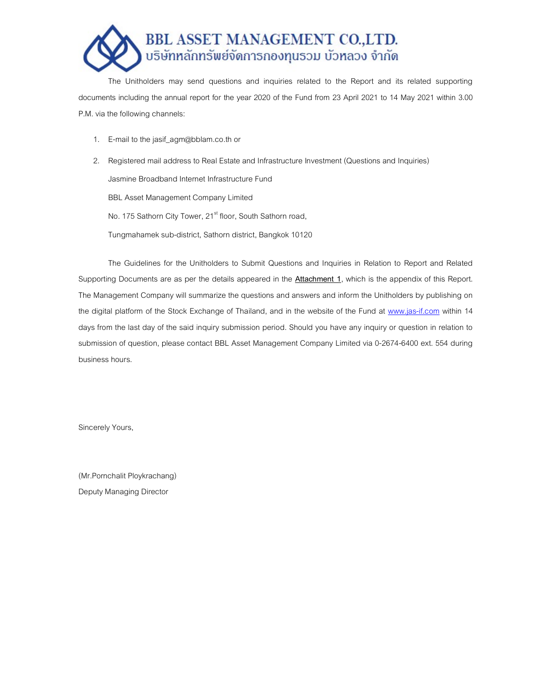

The Unitholders may send questions and inquiries related to the Report and its related supporting documents including the annual report for the year 2020 of the Fund from 23 April 2021 to 14 May 2021 within 3.00 P.M. via the following channels:

1. E-mail to the jasif agm@bblam.co.th or

2. Registered mail address to Real Estate and Infrastructure Investment (Questions and Inquiries) Jasmine Broadband Internet Infrastructure Fund BBL Asset Management Company Limited No. 175 Sathorn City Tower, 21<sup>st</sup> floor, South Sathorn road, Tungmahamek sub-district, Sathorn district, Bangkok 10120

The Guidelines for the Unitholders to Submit Questions and Inquiries in Relation to Report and Related Supporting Documents are as per the details appeared in the **Attachment 1**, which is the appendix of this Report. The Management Company will summarize the questions and answers and inform the Unitholders by publishing on the digital platform of the Stock Exchange of Thailand, and in the website of the Fund at www.jas-if.com within 14 days from the last day of the said inquiry submission period. Should you have any inquiry or question in relation to submission of question, please contact BBL Asset Management Company Limited via 0-2674-6400 ext. 554 during business hours.

Sincerely Yours,

(Mr.Pornchalit Ploykrachang) Deputy Managing Director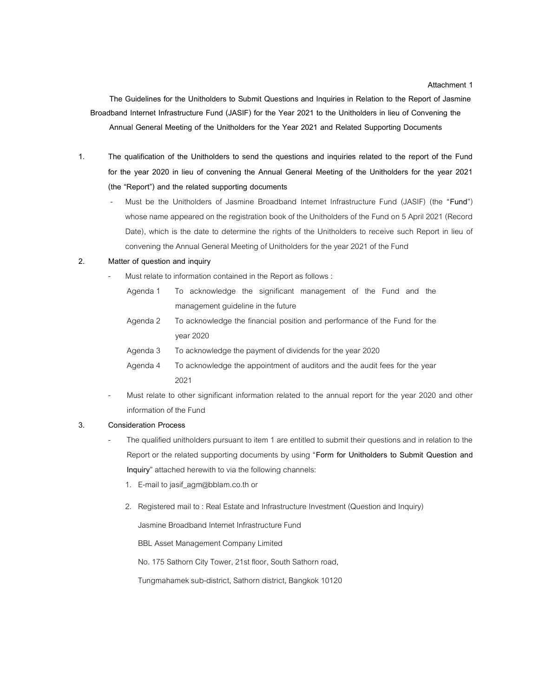The Guidelines for the Unitholders to Submit Questions and Inquiries in Relation to the Report of Jasmine Broadband Internet Infrastructure Fund (JASIF) for the Year 2021 to the Unitholders in lieu of Convening the Annual General Meeting of the Unitholders for the Year 2021 and Related Supporting Documents

- 1. The qualification of the Unitholders to send the questions and inquiries related to the report of the Fund for the year 2020 in lieu of convening the Annual General Meeting of the Unitholders for the year 2021 (the "Report") and the related supporting documents
	- Must be the Unitholders of Jasmine Broadband Internet Infrastructure Fund (JASIF) (the "Fund") whose name appeared on the registration book of the Unitholders of the Fund on 5 April 2021 (Record Date), which is the date to determine the rights of the Unitholders to receive such Report in lieu of convening the Annual General Meeting of Unitholders for the year 2021 of the Fund

# 2. Matter of question and inquiry

- Must relate to information contained in the Report as follows :
	- Agenda 1 To acknowledge the significant management of the Fund and the management guideline in the future
	- Agenda 2 To acknowledge the financial position and performance of the Fund for the year 2020
	- Agenda 3 To acknowledge the payment of dividends for the year 2020
	- Agenda 4 To acknowledge the appointment of auditors and the audit fees for the year 2021
- Must relate to other significant information related to the annual report for the year 2020 and other information of the Fund

#### 3. Consideration Process

- The qualified unitholders pursuant to item 1 are entitled to submit their questions and in relation to the Report or the related supporting documents by using "Form for Unitholders to Submit Question and Inquiry" attached herewith to via the following channels:
	- 1. E-mail to jasif\_agm@bblam.co.th or
	- 2. Registered mail to : Real Estate and Infrastructure Investment (Question and Inquiry)

Jasmine Broadband Internet Infrastructure Fund

BBL Asset Management Company Limited

No. 175 Sathorn City Tower, 21st floor, South Sathorn road,

Tungmahamek sub-district, Sathorn district, Bangkok 10120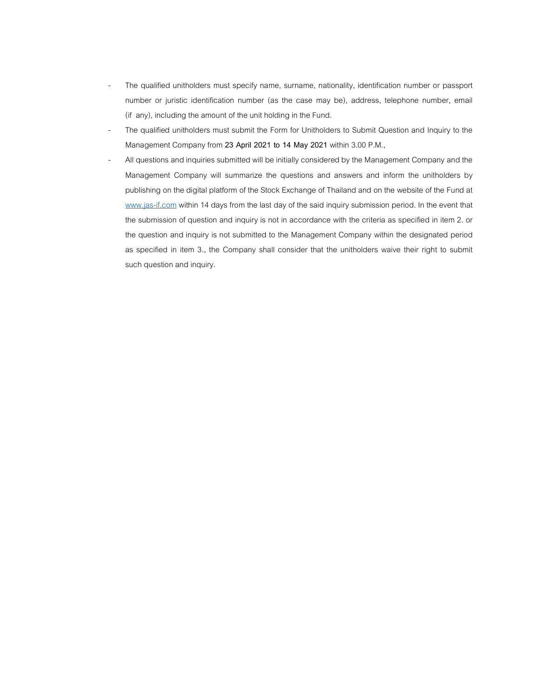- The qualified unitholders must specify name, surname, nationality, identification number or passport number or juristic identification number (as the case may be), address, telephone number, email (if any), including the amount of the unit holding in the Fund.
- The qualified unitholders must submit the Form for Unitholders to Submit Question and Inquiry to the Management Company from 23 April 2021 to 14 May 2021 within 3.00 P.M.,
- All questions and inquiries submitted will be initially considered by the Management Company and the Management Company will summarize the questions and answers and inform the unitholders by publishing on the digital platform of the Stock Exchange of Thailand and on the website of the Fund at www.jas-if.com within 14 days from the last day of the said inquiry submission period. In the event that the submission of question and inquiry is not in accordance with the criteria as specified in item 2. or the question and inquiry is not submitted to the Management Company within the designated period as specified in item 3., the Company shall consider that the unitholders waive their right to submit such question and inquiry.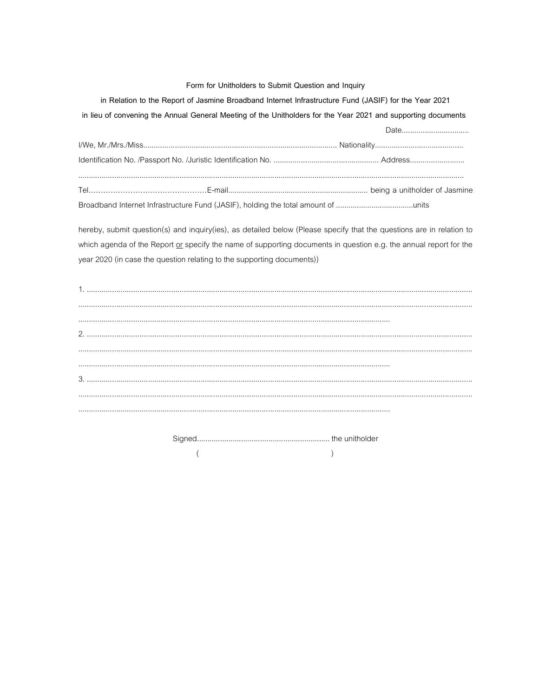#### Form for Unitholders to Submit Question and Inquiry

in Relation to the Report of Jasmine Broadband Internet Infrastructure Fund (JASIF) for the Year 2021

in lieu of convening the Annual General Meeting of the Unitholders for the Year 2021 and supporting documents

Date................................. 

hereby, submit question(s) and inquiry(ies), as detailed below (Please specify that the questions are in relation to which agenda of the Report or specify the name of supporting documents in question e.g. the annual report for the year 2020 (in case the question relating to the supporting documents))

> $\overline{(\ }$  $\lambda$